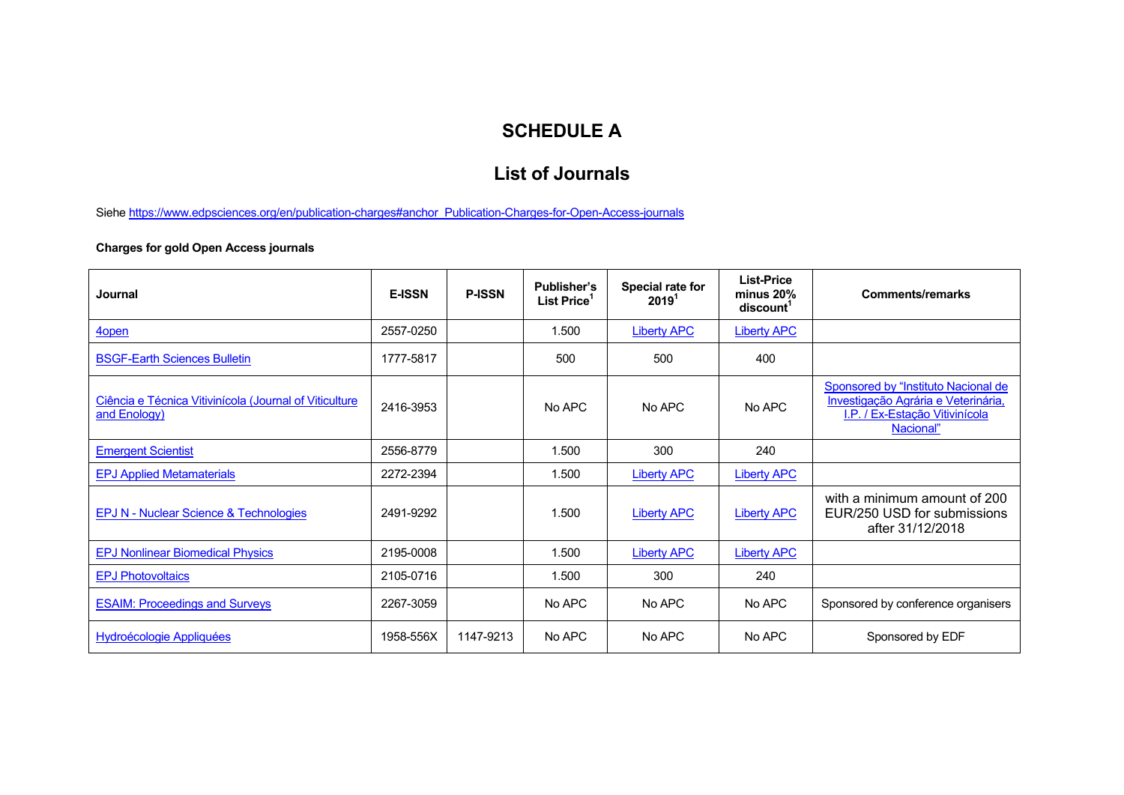## **SCHEDULE A**

## **List of Journals**

Siehe https://www.edpsciences.org/en/publication-charges#anchor\_Publication-Charges-for-Open-Access-journals

## **Charges for gold Open Access journals**

| Journal                                                                | <b>E-ISSN</b> | <b>P-ISSN</b> | <b>Publisher's</b><br>List Price | Special rate for<br>$2019$ <sup>1</sup> | <b>List-Price</b><br>$minus 20\%$<br>discount <sup>1</sup> | <b>Comments/remarks</b>                                                                                                   |
|------------------------------------------------------------------------|---------------|---------------|----------------------------------|-----------------------------------------|------------------------------------------------------------|---------------------------------------------------------------------------------------------------------------------------|
| 4 <sub>open</sub>                                                      | 2557-0250     |               | 1.500                            | <b>Liberty APC</b>                      | <b>Liberty APC</b>                                         |                                                                                                                           |
| <b>BSGF-Earth Sciences Bulletin</b>                                    | 1777-5817     |               | 500                              | 500                                     | 400                                                        |                                                                                                                           |
| Ciência e Técnica Vitivinícola (Journal of Viticulture<br>and Enology) | 2416-3953     |               | No APC                           | No APC                                  | No APC                                                     | Sponsored by "Instituto Nacional de<br>Investigação Agrária e Veterinária,<br>I.P. / Ex-Estação Vitivinícola<br>Nacional" |
| <b>Emergent Scientist</b>                                              | 2556-8779     |               | 1.500                            | 300                                     | 240                                                        |                                                                                                                           |
| <b>EPJ Applied Metamaterials</b>                                       | 2272-2394     |               | 1.500                            | <b>Liberty APC</b>                      | <b>Liberty APC</b>                                         |                                                                                                                           |
| EPJ N - Nuclear Science & Technologies                                 | 2491-9292     |               | 1.500                            | <b>Liberty APC</b>                      | <b>Liberty APC</b>                                         | with a minimum amount of 200<br>EUR/250 USD for submissions<br>after 31/12/2018                                           |
| <b>EPJ Nonlinear Biomedical Physics</b>                                | 2195-0008     |               | 1.500                            | <b>Liberty APC</b>                      | <b>Liberty APC</b>                                         |                                                                                                                           |
| <b>EPJ Photovoltaics</b>                                               | 2105-0716     |               | 1.500                            | 300                                     | 240                                                        |                                                                                                                           |
| <b>ESAIM: Proceedings and Surveys</b>                                  | 2267-3059     |               | No APC                           | No APC                                  | No APC                                                     | Sponsored by conference organisers                                                                                        |
| Hydroécologie Appliquées                                               | 1958-556X     | 1147-9213     | No APC                           | No APC                                  | No APC                                                     | Sponsored by EDF                                                                                                          |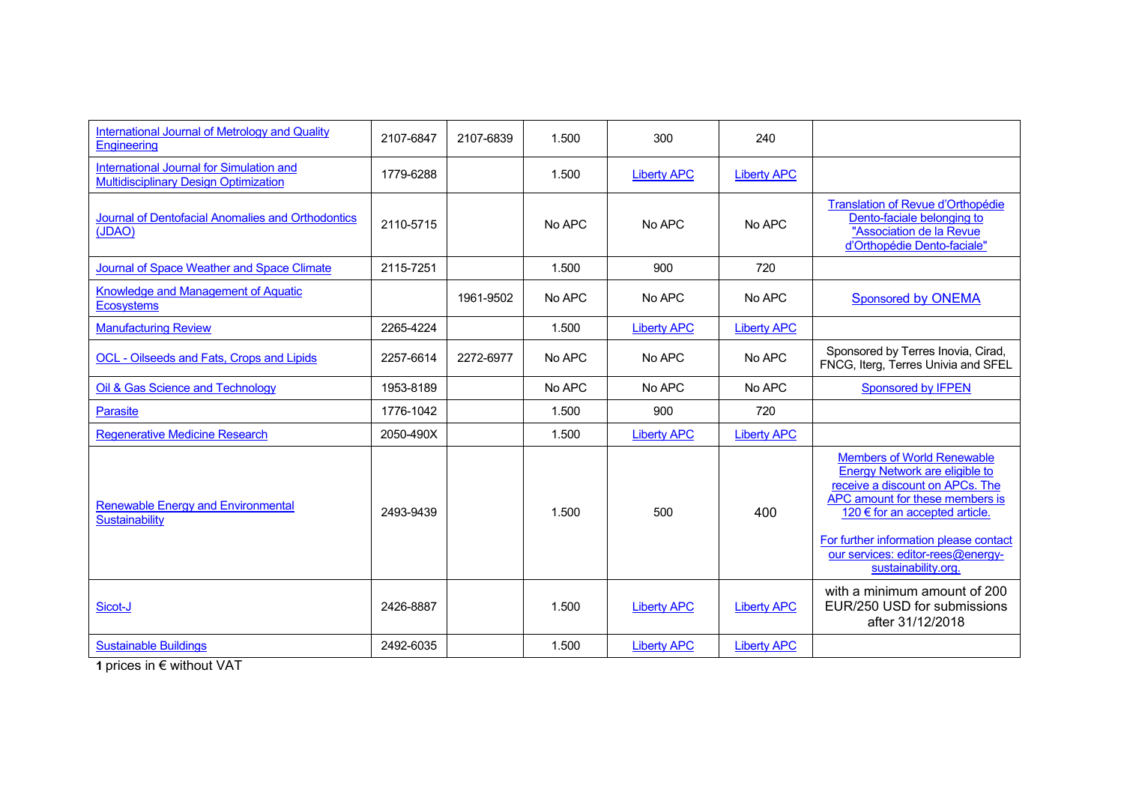| International Journal of Metrology and Quality<br>Engineering                            | 2107-6847 | 2107-6839 | 1.500  | 300                | 240                |                                                                                                                                                                                                                                                                                          |
|------------------------------------------------------------------------------------------|-----------|-----------|--------|--------------------|--------------------|------------------------------------------------------------------------------------------------------------------------------------------------------------------------------------------------------------------------------------------------------------------------------------------|
| International Journal for Simulation and<br><b>Multidisciplinary Design Optimization</b> | 1779-6288 |           | 1.500  | <b>Liberty APC</b> | <b>Liberty APC</b> |                                                                                                                                                                                                                                                                                          |
| Journal of Dentofacial Anomalies and Orthodontics<br>(JDAO)                              | 2110-5715 |           | No APC | No APC             | No APC             | Translation of Revue d'Orthopédie<br>Dento-faciale belonging to<br>"Association de la Revue<br>d'Orthopédie Dento-faciale"                                                                                                                                                               |
| Journal of Space Weather and Space Climate                                               | 2115-7251 |           | 1.500  | 900                | 720                |                                                                                                                                                                                                                                                                                          |
| Knowledge and Management of Aquatic<br><b>Ecosystems</b>                                 |           | 1961-9502 | No APC | No APC             | No APC             | <b>Sponsored by ONEMA</b>                                                                                                                                                                                                                                                                |
| <b>Manufacturing Review</b>                                                              | 2265-4224 |           | 1.500  | <b>Liberty APC</b> | <b>Liberty APC</b> |                                                                                                                                                                                                                                                                                          |
| <b>OCL - Oilseeds and Fats, Crops and Lipids</b>                                         | 2257-6614 | 2272-6977 | No APC | No APC             | No APC             | Sponsored by Terres Inovia, Cirad,<br>FNCG, Iterg, Terres Univia and SFEL                                                                                                                                                                                                                |
| Oil & Gas Science and Technology                                                         | 1953-8189 |           | No APC | No APC             | No APC             | Sponsored by <b>IFPEN</b>                                                                                                                                                                                                                                                                |
| <b>Parasite</b>                                                                          | 1776-1042 |           | 1.500  | 900                | 720                |                                                                                                                                                                                                                                                                                          |
| <b>Regenerative Medicine Research</b>                                                    | 2050-490X |           | 1.500  | <b>Liberty APC</b> | <b>Liberty APC</b> |                                                                                                                                                                                                                                                                                          |
| <b>Renewable Energy and Environmental</b><br>Sustainability                              | 2493-9439 |           | 1.500  | 500                | 400                | <b>Members of World Renewable</b><br><b>Energy Network are eligible to</b><br>receive a discount on APCs. The<br>APC amount for these members is<br>120 € for an accepted article.<br>For further information please contact<br>our services: editor-rees@energy-<br>sustainability.org. |
| Sicot-J                                                                                  | 2426-8887 |           | 1.500  | <b>Liberty APC</b> | <b>Liberty APC</b> | with a minimum amount of 200<br>EUR/250 USD for submissions<br>after 31/12/2018                                                                                                                                                                                                          |
| <b>Sustainable Buildings</b>                                                             | 2492-6035 |           | 1.500  | <b>Liberty APC</b> | <b>Liberty APC</b> |                                                                                                                                                                                                                                                                                          |

**1** prices in € without VAT